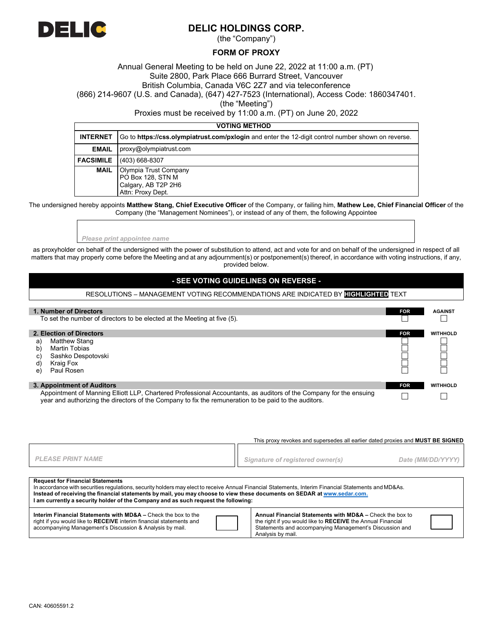

Г

# **DELIC HOLDINGS CORP.**

(the "Company")

### **FORM OF PROXY**

Annual General Meeting to be held on June 22, 2022 at 11:00 a.m. (PT) Suite 2800, Park Place 666 Burrard Street, Vancouver British Columbia, Canada V6C 2Z7 and via teleconference (866) 214-9607 (U.S. and Canada), (647) 427-7523 (International), Access Code: 1860347401.

(the "Meeting")

Proxies must be received by 11:00 a.m. (PT) on June 20, 2022

### **VOTING METHOD**

| <b>INTERNET</b> | Go to https://css.olympiatrust.com/pxlogin and enter the 12-digit control number shown on reverse. |
|-----------------|----------------------------------------------------------------------------------------------------|
| <b>EMAIL</b>    | proxy@olympiatrust.com                                                                             |
|                 | <b>FACSIMILE</b> (403) 668-8307                                                                    |
| MAIL            | Olympia Trust Company<br>PO Box 128, STN M<br>Calgary, AB T2P 2H6<br>Attn: Proxy Dept.             |

The undersigned hereby appoints **Matthew Stang, Chief Executive Officer** of the Company, or failing him, **Mathew Lee, Chief Financial Officer** of the Company (the "Management Nominees"), or instead of any of them, the following Appointee

*Please print appointee name*

as proxyholder on behalf of the undersigned with the power of substitution to attend, act and vote for and on behalf of the undersigned in respect of all matters that may properly come before the Meeting and at any adjournment(s) or postponement(s) thereof, in accordance with voting instructions, if any, provided below.

## **- SEE VOTING GUIDELINES ON REVERSE -**

### RESOLUTIONS – MANAGEMENT VOTING RECOMMENDATIONS ARE INDICATED BY **HIGHLIGHTED** TEXT

| 1. Number of Directors                                                                                                                                                                                                      |                                                                          |            | <b>AGAINST</b>  |
|-----------------------------------------------------------------------------------------------------------------------------------------------------------------------------------------------------------------------------|--------------------------------------------------------------------------|------------|-----------------|
|                                                                                                                                                                                                                             | To set the number of directors to be elected at the Meeting at five (5). |            |                 |
|                                                                                                                                                                                                                             | 2. Election of Directors                                                 | <b>FOR</b> | <b>WITHHOLD</b> |
| a)                                                                                                                                                                                                                          | Matthew Stang                                                            |            |                 |
| b)                                                                                                                                                                                                                          | <b>Martin Tobias</b>                                                     |            |                 |
| C)                                                                                                                                                                                                                          | Sashko Despotovski                                                       |            |                 |
| ď                                                                                                                                                                                                                           | Kraig Fox                                                                |            |                 |
| e)                                                                                                                                                                                                                          | Paul Rosen                                                               |            |                 |
| 3. Appointment of Auditors                                                                                                                                                                                                  |                                                                          | <b>FOR</b> | <b>WITHHOLD</b> |
| Appointment of Manning Elliott LLP, Chartered Professional Accountants, as auditors of the Company for the ensuing<br>year and authorizing the directors of the Company to fix the remuneration to be paid to the auditors. |                                                                          |            |                 |

|                                                                                                                                                                                                                                                                                                                                                                                                                    | This proxy revokes and supersedes all earlier dated proxies and <b>MUST BE SIGNED</b>                                                                                                                   |                   |  |  |  |  |
|--------------------------------------------------------------------------------------------------------------------------------------------------------------------------------------------------------------------------------------------------------------------------------------------------------------------------------------------------------------------------------------------------------------------|---------------------------------------------------------------------------------------------------------------------------------------------------------------------------------------------------------|-------------------|--|--|--|--|
| <b>PLEASE PRINT NAME</b>                                                                                                                                                                                                                                                                                                                                                                                           | Signature of registered owner(s)                                                                                                                                                                        | Date (MM/DD/YYYY) |  |  |  |  |
| <b>Request for Financial Statements</b><br>In accordance with securities regulations, security holders may elect to receive Annual Financial Statements, Interim Financial Statements and MD&As.<br>Instead of receiving the financial statements by mail, you may choose to view these documents on SEDAR at www.sedar.com.<br>I am currently a security holder of the Company and as such request the following: |                                                                                                                                                                                                         |                   |  |  |  |  |
| <b>Interim Financial Statements with MD&amp;A - Check the box to the</b><br>right if you would like to RECEIVE interim financial statements and<br>accompanying Management's Discussion & Analysis by mail.                                                                                                                                                                                                        | Annual Financial Statements with MD&A - Check the box to<br>the right if you would like to RECEIVE the Annual Financial<br>Statements and accompanying Management's Discussion and<br>Analysis by mail. |                   |  |  |  |  |